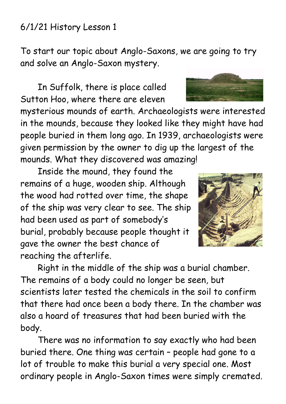## 6/1/21 History Lesson 1

To start our topic about Anglo-Saxons, we are going to try and solve an Anglo-Saxon mystery.

In Suffolk, there is place called Sutton Hoo, where there are eleven

mysterious mounds of earth. Archaeologists were interested in the mounds, because they looked like they might have had people buried in them long ago. In 1939, archaeologists were given permission by the owner to dig up the largest of the mounds. What they discovered was amazing!

Inside the mound, they found the remains of a huge, wooden ship. Although the wood had rotted over time, the shape of the ship was very clear to see. The ship had been used as part of somebody's burial, probably because people thought it gave the owner the best chance of reaching the afterlife.

Right in the middle of the ship was a burial chamber. The remains of a body could no longer be seen, but scientists later tested the chemicals in the soil to confirm that there had once been a body there. In the chamber was also a hoard of treasures that had been buried with the body.

There was no information to say exactly who had been buried there. One thing was certain – people had gone to a lot of trouble to make this burial a very special one. Most ordinary people in Anglo-Saxon times were simply cremated.



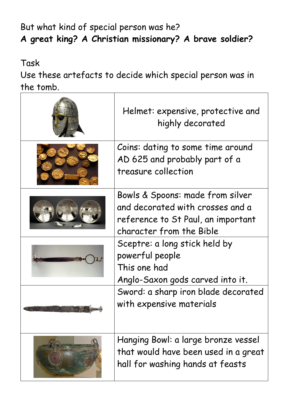## But what kind of special person was he? **A great king? A Christian missionary? A brave soldier?**

Task

Use these artefacts to decide which special person was in the tomb.

| Helmet: expensive, protective and<br>highly decorated                                                                                  |
|----------------------------------------------------------------------------------------------------------------------------------------|
| Coins: dating to some time around<br>AD 625 and probably part of a<br>treasure collection                                              |
| Bowls & Spoons: made from silver<br>and decorated with crosses and a<br>reference to St Paul, an important<br>character from the Bible |
| Sceptre: a long stick held by<br>powerful people<br>This one had<br>Anglo-Saxon gods carved into it.                                   |
| Sword: a sharp iron blade decorated<br>with expensive materials                                                                        |
| Hanging Bowl: a large bronze vessel<br>that would have been used in a great<br>hall for washing hands at feasts                        |